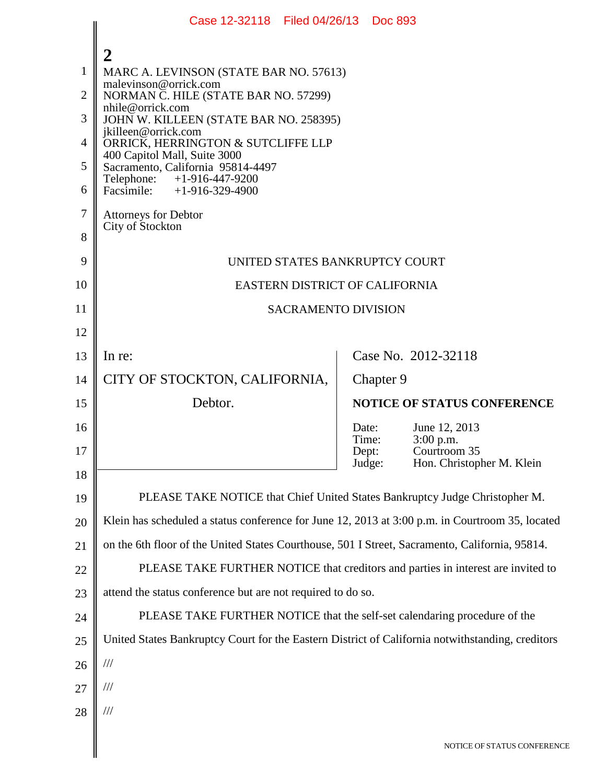|                | Case 12-32118 Filed 04/26/13 Doc 893                                                             |                 |           |                                           |  |  |
|----------------|--------------------------------------------------------------------------------------------------|-----------------|-----------|-------------------------------------------|--|--|
|                | $\overline{2}$                                                                                   |                 |           |                                           |  |  |
| 1              | MARC A. LEVINSON (STATE BAR NO. 57613)                                                           |                 |           |                                           |  |  |
| $\overline{2}$ | malevinson@orrick.com<br>NORMAN C. HILE (STATE BAR NO. 57299)                                    |                 |           |                                           |  |  |
| 3              | nhile@orrick.com<br>JOHN W. KILLEEN (STATE BAR NO. 258395)                                       |                 |           |                                           |  |  |
| $\overline{4}$ | jkilleen@orrick.com<br>ORRICK, HERRINGTON & SUTCLIFFE LLP                                        |                 |           |                                           |  |  |
| 5              | 400 Capitol Mall, Suite 3000<br>Sacramento, California 95814-4497                                |                 |           |                                           |  |  |
| 6              | Telephone: +1-916-447-9200<br>Facsimile: $+1-916-329-4900$                                       |                 |           |                                           |  |  |
| 7              | <b>Attorneys for Debtor</b>                                                                      |                 |           |                                           |  |  |
| 8              | City of Stockton                                                                                 |                 |           |                                           |  |  |
| 9              | UNITED STATES BANKRUPTCY COURT                                                                   |                 |           |                                           |  |  |
| 10             | EASTERN DISTRICT OF CALIFORNIA                                                                   |                 |           |                                           |  |  |
| 11             | <b>SACRAMENTO DIVISION</b>                                                                       |                 |           |                                           |  |  |
| 12             |                                                                                                  |                 |           |                                           |  |  |
| 13             | In re:                                                                                           |                 |           | Case No. 2012-32118                       |  |  |
| 14             | CITY OF STOCKTON, CALIFORNIA,                                                                    |                 | Chapter 9 |                                           |  |  |
| 15             | Debtor.                                                                                          |                 |           | <b>NOTICE OF STATUS CONFERENCE</b>        |  |  |
| 16             |                                                                                                  | Date:<br>Time:  |           | June 12, 2013<br>3:00 p.m.                |  |  |
| 17             |                                                                                                  | Dept:<br>Judge: |           | Courtroom 35<br>Hon. Christopher M. Klein |  |  |
| 18             |                                                                                                  |                 |           |                                           |  |  |
| 19             | PLEASE TAKE NOTICE that Chief United States Bankruptcy Judge Christopher M.                      |                 |           |                                           |  |  |
| 20             | Klein has scheduled a status conference for June 12, 2013 at 3:00 p.m. in Courtroom 35, located  |                 |           |                                           |  |  |
| 21             | on the 6th floor of the United States Courthouse, 501 I Street, Sacramento, California, 95814.   |                 |           |                                           |  |  |
| 22             | PLEASE TAKE FURTHER NOTICE that creditors and parties in interest are invited to                 |                 |           |                                           |  |  |
| 23             | attend the status conference but are not required to do so.                                      |                 |           |                                           |  |  |
| 24             | PLEASE TAKE FURTHER NOTICE that the self-set calendaring procedure of the                        |                 |           |                                           |  |  |
| 25             | United States Bankruptcy Court for the Eastern District of California notwithstanding, creditors |                 |           |                                           |  |  |
| 26             | $\frac{1}{1}$                                                                                    |                 |           |                                           |  |  |
| 27             | $\frac{1}{1}$                                                                                    |                 |           |                                           |  |  |
| 28             | $\frac{1}{1}$                                                                                    |                 |           |                                           |  |  |
|                |                                                                                                  |                 |           | NOTICE OF STATUS CONFERENCE               |  |  |
|                |                                                                                                  |                 |           |                                           |  |  |